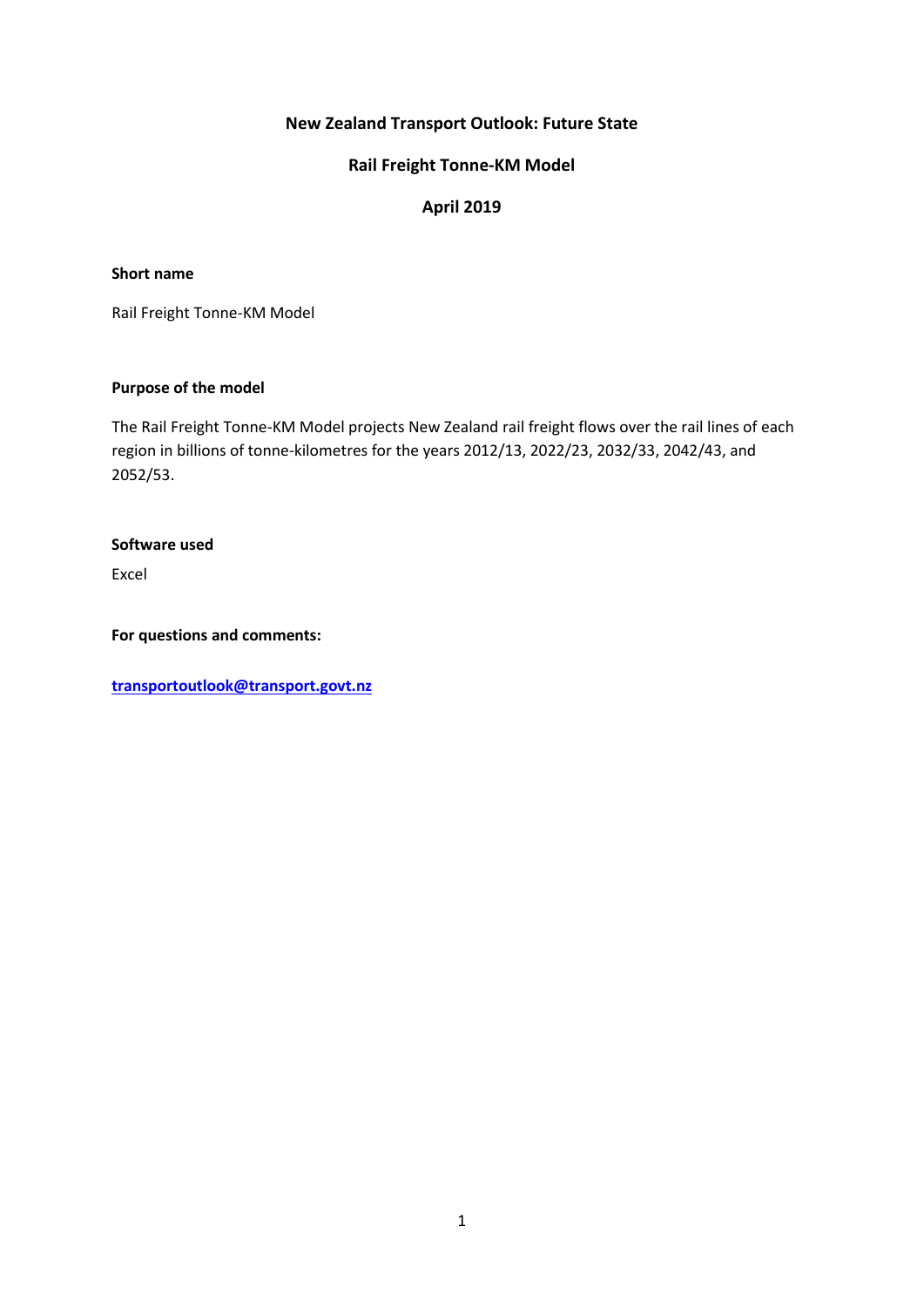# **New Zealand Transport Outlook: Future State**

# **Rail Freight Tonne-KM Model**

# **April 2019**

#### **Short name**

Rail Freight Tonne-KM Model

#### **Purpose of the model**

The Rail Freight Tonne-KM Model projects New Zealand rail freight flows over the rail lines of each region in billions of tonne-kilometres for the years 2012/13, 2022/23, 2032/33, 2042/43, and 2052/53.

#### **Software used**

Excel

**For questions and comments:** 

**[transportoutlook@transport.govt.nz](mailto:transportoutlook@transport.govt.nz)**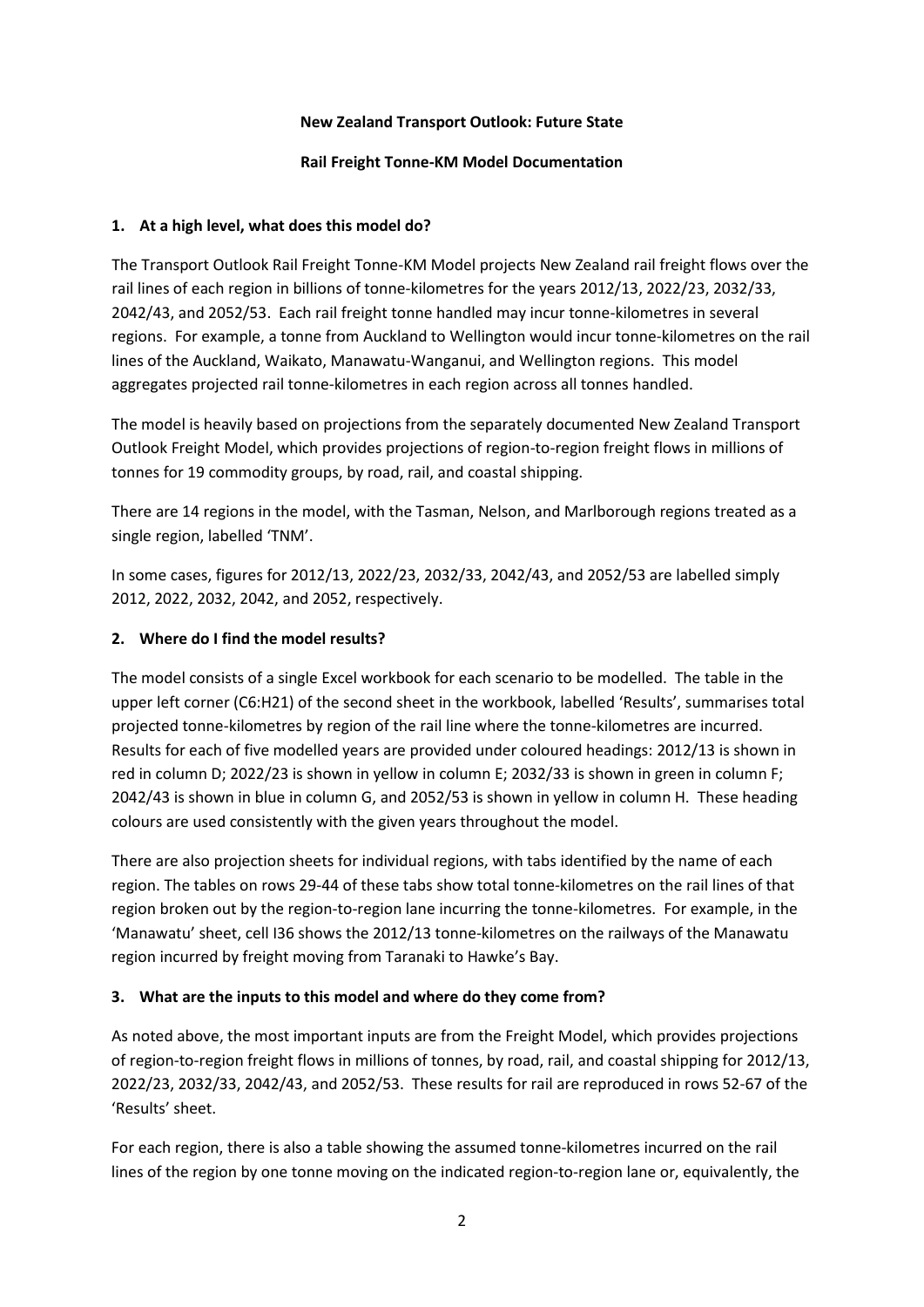### **New Zealand Transport Outlook: Future State**

### **Rail Freight Tonne-KM Model Documentation**

### **1. At a high level, what does this model do?**

The Transport Outlook Rail Freight Tonne-KM Model projects New Zealand rail freight flows over the rail lines of each region in billions of tonne-kilometres for the years 2012/13, 2022/23, 2032/33, 2042/43, and 2052/53. Each rail freight tonne handled may incur tonne-kilometres in several regions. For example, a tonne from Auckland to Wellington would incur tonne-kilometres on the rail lines of the Auckland, Waikato, Manawatu-Wanganui, and Wellington regions. This model aggregates projected rail tonne-kilometres in each region across all tonnes handled.

The model is heavily based on projections from the separately documented New Zealand Transport Outlook Freight Model, which provides projections of region-to-region freight flows in millions of tonnes for 19 commodity groups, by road, rail, and coastal shipping.

There are 14 regions in the model, with the Tasman, Nelson, and Marlborough regions treated as a single region, labelled 'TNM'.

In some cases, figures for 2012/13, 2022/23, 2032/33, 2042/43, and 2052/53 are labelled simply 2012, 2022, 2032, 2042, and 2052, respectively.

# **2. Where do I find the model results?**

The model consists of a single Excel workbook for each scenario to be modelled. The table in the upper left corner (C6:H21) of the second sheet in the workbook, labelled 'Results', summarises total projected tonne-kilometres by region of the rail line where the tonne-kilometres are incurred. Results for each of five modelled years are provided under coloured headings: 2012/13 is shown in red in column D; 2022/23 is shown in yellow in column E; 2032/33 is shown in green in column F; 2042/43 is shown in blue in column G, and 2052/53 is shown in yellow in column H. These heading colours are used consistently with the given years throughout the model.

There are also projection sheets for individual regions, with tabs identified by the name of each region. The tables on rows 29-44 of these tabs show total tonne-kilometres on the rail lines of that region broken out by the region-to-region lane incurring the tonne-kilometres. For example, in the 'Manawatu' sheet, cell I36 shows the 2012/13 tonne-kilometres on the railways of the Manawatu region incurred by freight moving from Taranaki to Hawke's Bay.

# **3. What are the inputs to this model and where do they come from?**

As noted above, the most important inputs are from the Freight Model, which provides projections of region-to-region freight flows in millions of tonnes, by road, rail, and coastal shipping for 2012/13, 2022/23, 2032/33, 2042/43, and 2052/53. These results for rail are reproduced in rows 52-67 of the 'Results' sheet.

For each region, there is also a table showing the assumed tonne-kilometres incurred on the rail lines of the region by one tonne moving on the indicated region-to-region lane or, equivalently, the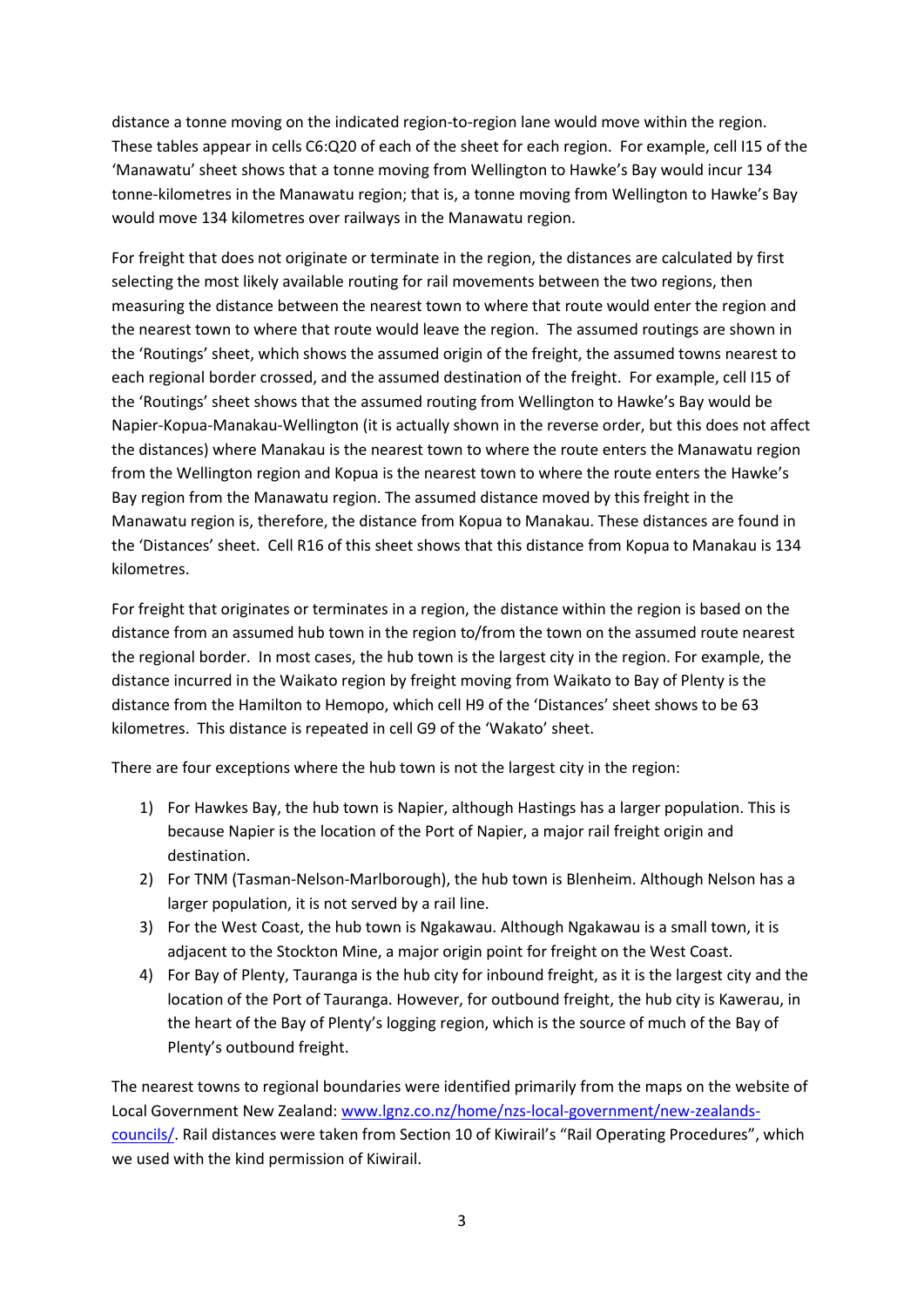distance a tonne moving on the indicated region-to-region lane would move within the region. These tables appear in cells C6:Q20 of each of the sheet for each region. For example, cell I15 of the 'Manawatu' sheet shows that a tonne moving from Wellington to Hawke's Bay would incur 134 tonne-kilometres in the Manawatu region; that is, a tonne moving from Wellington to Hawke's Bay would move 134 kilometres over railways in the Manawatu region.

For freight that does not originate or terminate in the region, the distances are calculated by first selecting the most likely available routing for rail movements between the two regions, then measuring the distance between the nearest town to where that route would enter the region and the nearest town to where that route would leave the region. The assumed routings are shown in the 'Routings' sheet, which shows the assumed origin of the freight, the assumed towns nearest to each regional border crossed, and the assumed destination of the freight. For example, cell I15 of the 'Routings' sheet shows that the assumed routing from Wellington to Hawke's Bay would be Napier-Kopua-Manakau-Wellington (it is actually shown in the reverse order, but this does not affect the distances) where Manakau is the nearest town to where the route enters the Manawatu region from the Wellington region and Kopua is the nearest town to where the route enters the Hawke's Bay region from the Manawatu region. The assumed distance moved by this freight in the Manawatu region is, therefore, the distance from Kopua to Manakau. These distances are found in the 'Distances' sheet. Cell R16 of this sheet shows that this distance from Kopua to Manakau is 134 kilometres.

For freight that originates or terminates in a region, the distance within the region is based on the distance from an assumed hub town in the region to/from the town on the assumed route nearest the regional border. In most cases, the hub town is the largest city in the region. For example, the distance incurred in the Waikato region by freight moving from Waikato to Bay of Plenty is the distance from the Hamilton to Hemopo, which cell H9 of the 'Distances' sheet shows to be 63 kilometres. This distance is repeated in cell G9 of the 'Wakato' sheet.

There are four exceptions where the hub town is not the largest city in the region:

- 1) For Hawkes Bay, the hub town is Napier, although Hastings has a larger population. This is because Napier is the location of the Port of Napier, a major rail freight origin and destination.
- 2) For TNM (Tasman-Nelson-Marlborough), the hub town is Blenheim. Although Nelson has a larger population, it is not served by a rail line.
- 3) For the West Coast, the hub town is Ngakawau. Although Ngakawau is a small town, it is adjacent to the Stockton Mine, a major origin point for freight on the West Coast.
- 4) For Bay of Plenty, Tauranga is the hub city for inbound freight, as it is the largest city and the location of the Port of Tauranga. However, for outbound freight, the hub city is Kawerau, in the heart of the Bay of Plenty's logging region, which is the source of much of the Bay of Plenty's outbound freight.

The nearest towns to regional boundaries were identified primarily from the maps on the website of Local Government New Zealand: [www.lgnz.co.nz/home/nzs-local-government/new-zealands](http://www.lgnz.co.nz/home/nzs-local-government/new-zealands-councils/)[councils/.](http://www.lgnz.co.nz/home/nzs-local-government/new-zealands-councils/) Rail distances were taken from Section 10 of Kiwirail's "Rail Operating Procedures", which we used with the kind permission of Kiwirail.